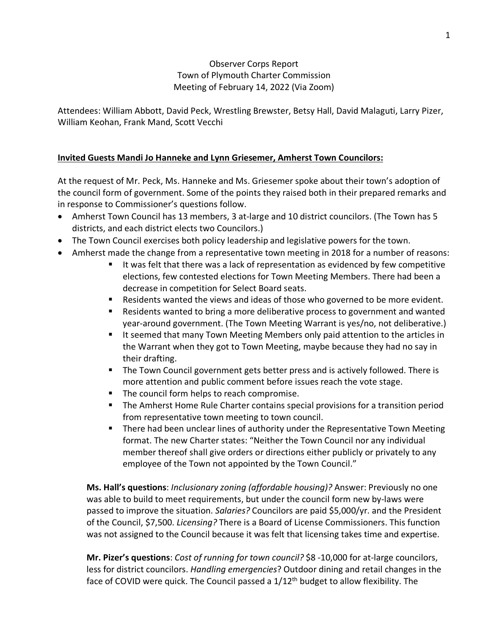### Observer Corps Report Town of Plymouth Charter Commission Meeting of February 14, 2022 (Via Zoom)

Attendees: William Abbott, David Peck, Wrestling Brewster, Betsy Hall, David Malaguti, Larry Pizer, William Keohan, Frank Mand, Scott Vecchi

### **Invited Guests Mandi Jo Hanneke and Lynn Griesemer, Amherst Town Councilors:**

At the request of Mr. Peck, Ms. Hanneke and Ms. Griesemer spoke about their town's adoption of the council form of government. Some of the points they raised both in their prepared remarks and in response to Commissioner's questions follow.

- Amherst Town Council has 13 members, 3 at-large and 10 district councilors. (The Town has 5 districts, and each district elects two Councilors.)
- The Town Council exercises both policy leadership and legislative powers for the town.
- Amherst made the change from a representative town meeting in 2018 for a number of reasons:
	- It was felt that there was a lack of representation as evidenced by few competitive elections, few contested elections for Town Meeting Members. There had been a decrease in competition for Select Board seats.
	- Residents wanted the views and ideas of those who governed to be more evident.
	- Residents wanted to bring a more deliberative process to government and wanted year-around government. (The Town Meeting Warrant is yes/no, not deliberative.)
	- It seemed that many Town Meeting Members only paid attention to the articles in the Warrant when they got to Town Meeting, maybe because they had no say in their drafting.
	- The Town Council government gets better press and is actively followed. There is more attention and public comment before issues reach the vote stage.
	- The council form helps to reach compromise.
	- The Amherst Home Rule Charter contains special provisions for a transition period from representative town meeting to town council.
	- **There had been unclear lines of authority under the Representative Town Meeting** format. The new Charter states: "Neither the Town Council nor any individual member thereof shall give orders or directions either publicly or privately to any employee of the Town not appointed by the Town Council."

**Ms. Hall's questions**: *Inclusionary zoning (affordable housing)?* Answer: Previously no one was able to build to meet requirements, but under the council form new by-laws were passed to improve the situation. *Salaries?* Councilors are paid \$5,000/yr. and the President of the Council, \$7,500. *Licensing?* There is a Board of License Commissioners. This function was not assigned to the Council because it was felt that licensing takes time and expertise.

**Mr. Pizer's questions**: *Cost of running for town council?* \$8 -10,000 for at-large councilors, less for district councilors. *Handling emergencies*? Outdoor dining and retail changes in the face of COVID were quick. The Council passed a  $1/12<sup>th</sup>$  budget to allow flexibility. The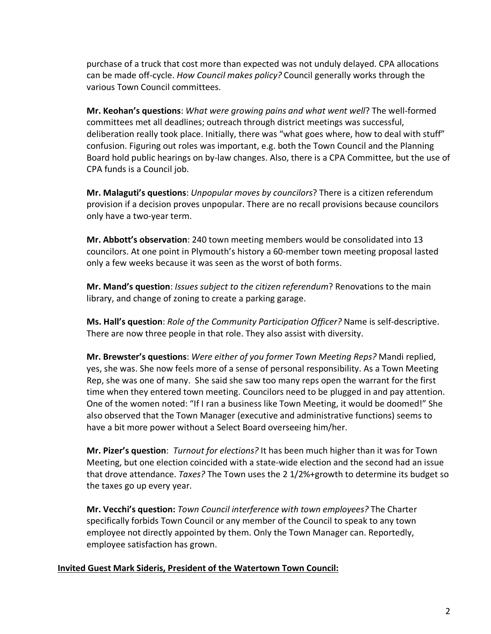purchase of a truck that cost more than expected was not unduly delayed. CPA allocations can be made off-cycle. *How Council makes policy?* Council generally works through the various Town Council committees.

**Mr. Keohan's questions**: *What were growing pains and what went well*? The well-formed committees met all deadlines; outreach through district meetings was successful, deliberation really took place. Initially, there was "what goes where, how to deal with stuff" confusion. Figuring out roles was important, e.g. both the Town Council and the Planning Board hold public hearings on by-law changes. Also, there is a CPA Committee, but the use of CPA funds is a Council job.

**Mr. Malaguti's questions**: *Unpopular moves by councilors*? There is a citizen referendum provision if a decision proves unpopular. There are no recall provisions because councilors only have a two-year term.

**Mr. Abbott's observation**: 240 town meeting members would be consolidated into 13 councilors. At one point in Plymouth's history a 60-member town meeting proposal lasted only a few weeks because it was seen as the worst of both forms.

**Mr. Mand's question**: *Issues subject to the citizen referendum*? Renovations to the main library, and change of zoning to create a parking garage.

**Ms. Hall's question**: *Role of the Community Participation Officer?* Name is self-descriptive. There are now three people in that role. They also assist with diversity.

**Mr. Brewster's questions**: *Were either of you former Town Meeting Reps?* Mandi replied, yes, she was. She now feels more of a sense of personal responsibility. As a Town Meeting Rep, she was one of many. She said she saw too many reps open the warrant for the first time when they entered town meeting. Councilors need to be plugged in and pay attention. One of the women noted: "If I ran a business like Town Meeting, it would be doomed!" She also observed that the Town Manager (executive and administrative functions) seems to have a bit more power without a Select Board overseeing him/her.

**Mr. Pizer's question**: *Turnout for elections?* It has been much higher than it was for Town Meeting, but one election coincided with a state-wide election and the second had an issue that drove attendance. *Taxes?* The Town uses the 2 1/2%+growth to determine its budget so the taxes go up every year.

**Mr. Vecchi's question:** *Town Council interference with town employees?* The Charter specifically forbids Town Council or any member of the Council to speak to any town employee not directly appointed by them. Only the Town Manager can. Reportedly, employee satisfaction has grown.

## **Invited Guest Mark Sideris, President of the Watertown Town Council:**